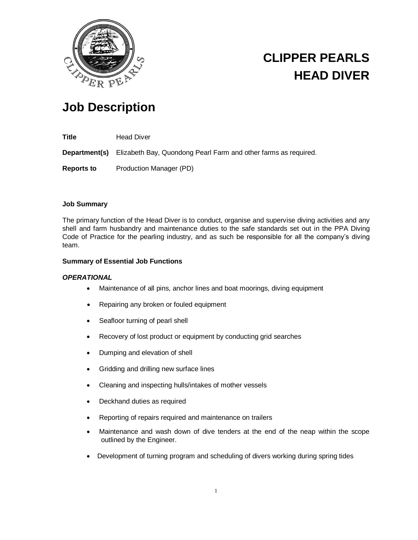

# **CLIPPER PEARLS HEAD DIVER**

# **Job Description**

**Title** Head Diver

**Department(s)** Elizabeth Bay, Quondong Pearl Farm and other farms as required.

**Reports to** Production Manager (PD)

# **Job Summary**

The primary function of the Head Diver is to conduct, organise and supervise diving activities and any shell and farm husbandry and maintenance duties to the safe standards set out in the PPA Diving Code of Practice for the pearling industry, and as such be responsible for all the company's diving team.

# **Summary of Essential Job Functions**

#### *OPERATIONAL*

- Maintenance of all pins, anchor lines and boat moorings, diving equipment
- Repairing any broken or fouled equipment
- Seafloor turning of pearl shell
- Recovery of lost product or equipment by conducting grid searches
- Dumping and elevation of shell
- Gridding and drilling new surface lines
- Cleaning and inspecting hulls/intakes of mother vessels
- Deckhand duties as required
- Reporting of repairs required and maintenance on trailers
- Maintenance and wash down of dive tenders at the end of the neap within the scope outlined by the Engineer.
- Development of turning program and scheduling of divers working during spring tides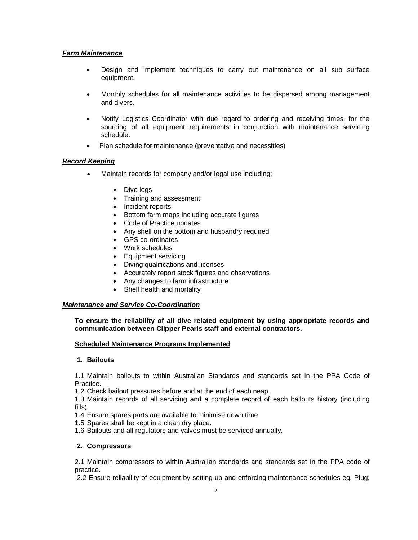### *Farm Maintenance*

- Design and implement techniques to carry out maintenance on all sub surface equipment.
- Monthly schedules for all maintenance activities to be dispersed among management and divers.
- Notify Logistics Coordinator with due regard to ordering and receiving times, for the sourcing of all equipment requirements in conjunction with maintenance servicing schedule.
- Plan schedule for maintenance (preventative and necessities)

# *Record Keeping*

- Maintain records for company and/or legal use including;
	- Dive logs
	- Training and assessment
	- Incident reports
	- Bottom farm maps including accurate figures
	- Code of Practice updates
	- Any shell on the bottom and husbandry required
	- GPS co-ordinates
	- Work schedules
	- Equipment servicing
	- Diving qualifications and licenses
	- Accurately report stock figures and observations
	- Any changes to farm infrastructure
	- Shell health and mortality

#### *Maintenance and Service Co-Coordination*

**To ensure the reliability of all dive related equipment by using appropriate records and communication between Clipper Pearls staff and external contractors.**

#### **Scheduled Maintenance Programs Implemented**

#### **1. Bailouts**

1.1 Maintain bailouts to within Australian Standards and standards set in the PPA Code of Practice.

1.2 Check bailout pressures before and at the end of each neap.

1.3 Maintain records of all servicing and a complete record of each bailouts history (including fills).

1.4 Ensure spares parts are available to minimise down time.

1.5 Spares shall be kept in a clean dry place.

1.6 Bailouts and all regulators and valves must be serviced annually.

#### **2. Compressors**

2.1 Maintain compressors to within Australian standards and standards set in the PPA code of practice.

2.2 Ensure reliability of equipment by setting up and enforcing maintenance schedules eg. Plug,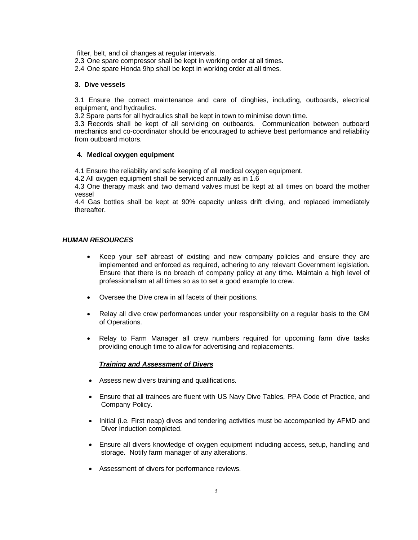filter, belt, and oil changes at regular intervals.

- 2.3 One spare compressor shall be kept in working order at all times.
- 2.4 One spare Honda 9hp shall be kept in working order at all times.

#### **3. Dive vessels**

3.1 Ensure the correct maintenance and care of dinghies, including, outboards, electrical equipment, and hydraulics.

3.2 Spare parts for all hydraulics shall be kept in town to minimise down time.

3.3 Records shall be kept of all servicing on outboards. Communication between outboard mechanics and co-coordinator should be encouraged to achieve best performance and reliability from outboard motors.

#### **4. Medical oxygen equipment**

4.1 Ensure the reliability and safe keeping of all medical oxygen equipment.

4.2 All oxygen equipment shall be serviced annually as in 1.6

4.3 One therapy mask and two demand valves must be kept at all times on board the mother vessel

4.4 Gas bottles shall be kept at 90% capacity unless drift diving, and replaced immediately thereafter.

### *HUMAN RESOURCES*

- Keep your self abreast of existing and new company policies and ensure they are implemented and enforced as required, adhering to any relevant Government legislation. Ensure that there is no breach of company policy at any time. Maintain a high level of professionalism at all times so as to set a good example to crew.
- Oversee the Dive crew in all facets of their positions.
- Relay all dive crew performances under your responsibility on a regular basis to the GM of Operations.
- Relay to Farm Manager all crew numbers required for upcoming farm dive tasks providing enough time to allow for advertising and replacements.

#### *Training and Assessment of Divers*

- Assess new divers training and qualifications.
- Ensure that all trainees are fluent with US Navy Dive Tables, PPA Code of Practice, and Company Policy.
- Initial (i.e. First neap) dives and tendering activities must be accompanied by AFMD and Diver Induction completed.
- Ensure all divers knowledge of oxygen equipment including access, setup, handling and storage. Notify farm manager of any alterations.
- Assessment of divers for performance reviews.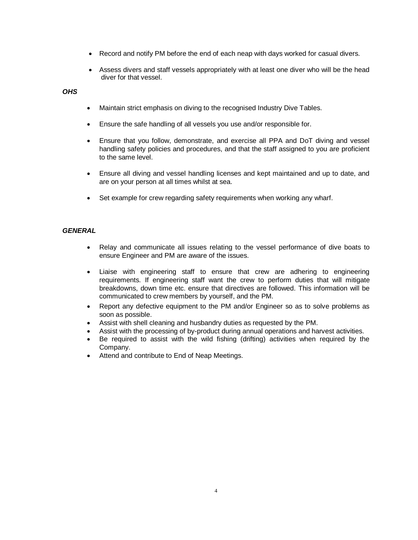- Record and notify PM before the end of each neap with days worked for casual divers.
- Assess divers and staff vessels appropriately with at least one diver who will be the head diver for that vessel.

# *OHS*

- Maintain strict emphasis on diving to the recognised Industry Dive Tables.
- Ensure the safe handling of all vessels you use and/or responsible for.
- Ensure that you follow, demonstrate, and exercise all PPA and DoT diving and vessel handling safety policies and procedures, and that the staff assigned to you are proficient to the same level.
- Ensure all diving and vessel handling licenses and kept maintained and up to date, and are on your person at all times whilst at sea.
- Set example for crew regarding safety requirements when working any wharf.

# *GENERAL*

- Relay and communicate all issues relating to the vessel performance of dive boats to ensure Engineer and PM are aware of the issues.
- Liaise with engineering staff to ensure that crew are adhering to engineering requirements. If engineering staff want the crew to perform duties that will mitigate breakdowns, down time etc. ensure that directives are followed. This information will be communicated to crew members by yourself, and the PM.
- Report any defective equipment to the PM and/or Engineer so as to solve problems as soon as possible.
- Assist with shell cleaning and husbandry duties as requested by the PM.
- Assist with the processing of by-product during annual operations and harvest activities.
- Be required to assist with the wild fishing (drifting) activities when required by the Company.
- Attend and contribute to End of Neap Meetings.